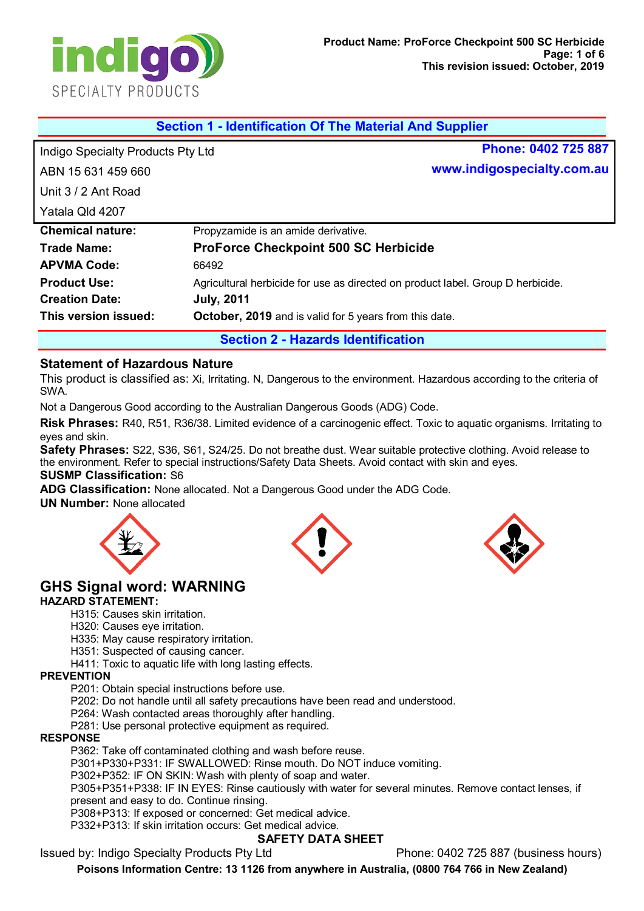

| <b>Section 1 - Identification Of The Material And Supplier</b> |                                                               |                                                                                 |
|----------------------------------------------------------------|---------------------------------------------------------------|---------------------------------------------------------------------------------|
| Indigo Specialty Products Pty Ltd                              |                                                               | Phone: 0402 725 887                                                             |
| ABN 15 631 459 660                                             |                                                               | www.indigospecialty.com.au                                                      |
| Unit 3/2 Ant Road                                              |                                                               |                                                                                 |
| Yatala Qld 4207                                                |                                                               |                                                                                 |
| <b>Chemical nature:</b>                                        | Propyzamide is an amide derivative.                           |                                                                                 |
| <b>Trade Name:</b>                                             | <b>ProForce Checkpoint 500 SC Herbicide</b>                   |                                                                                 |
| <b>APVMA Code:</b>                                             | 66492                                                         |                                                                                 |
| <b>Product Use:</b>                                            |                                                               | Agricultural herbicide for use as directed on product label. Group D herbicide. |
| <b>Creation Date:</b>                                          | <b>July, 2011</b>                                             |                                                                                 |
| This version issued:                                           | <b>October, 2019</b> and is valid for 5 years from this date. |                                                                                 |
| <b>Section 2 - Hazards Identification</b>                      |                                                               |                                                                                 |

#### **Statement of Hazardous Nature**

This product is classified as: Xi, Irritating. N, Dangerous to the environment. Hazardous according to the criteria of SWA.

Not a Dangerous Good according to the Australian Dangerous Goods (ADG) Code.

**Risk Phrases:** R40, R51, R36/38. Limited evidence of a carcinogenic effect. Toxic to aquatic organisms. Irritating to eyes and skin.

**Safety Phrases:** S22, S36, S61, S24/25. Do not breathe dust. Wear suitable protective clothing. Avoid release to the environment. Refer to special instructions/Safety Data Sheets. Avoid contact with skin and eyes. **SUSMP Classification:** S6

**ADG Classification:** None allocated. Not a Dangerous Good under the ADG Code.

**UN Number:** None allocated







# **GHS Signal word: WARNING**

#### **HAZARD STATEMENT:**

H315: Causes skin irritation.

H320: Causes eye irritation.

H335: May cause respiratory irritation.

H351: Suspected of causing cancer.

H411: Toxic to aquatic life with long lasting effects.

#### **PREVENTION**

P201: Obtain special instructions before use.

P202: Do not handle until all safety precautions have been read and understood.

P264: Wash contacted areas thoroughly after handling.

P281: Use personal protective equipment as required.

#### **RESPONSE**

P362: Take off contaminated clothing and wash before reuse.

P301+P330+P331: IF SWALLOWED: Rinse mouth. Do NOT induce vomiting.

P302+P352: IF ON SKIN: Wash with plenty of soap and water.

P305+P351+P338: IF IN EYES: Rinse cautiously with water for several minutes. Remove contact lenses, if present and easy to do. Continue rinsing.

P308+P313: If exposed or concerned: Get medical advice.

P332+P313: If skin irritation occurs: Get medical advice.

#### **SAFETY DATA SHEET**

Issued by: Indigo Specialty Products Pty Ltd Phone: 0402 725 887 (business hours)

**Poisons Information Centre: 13 1126 from anywhere in Australia, (0800 764 766 in New Zealand)**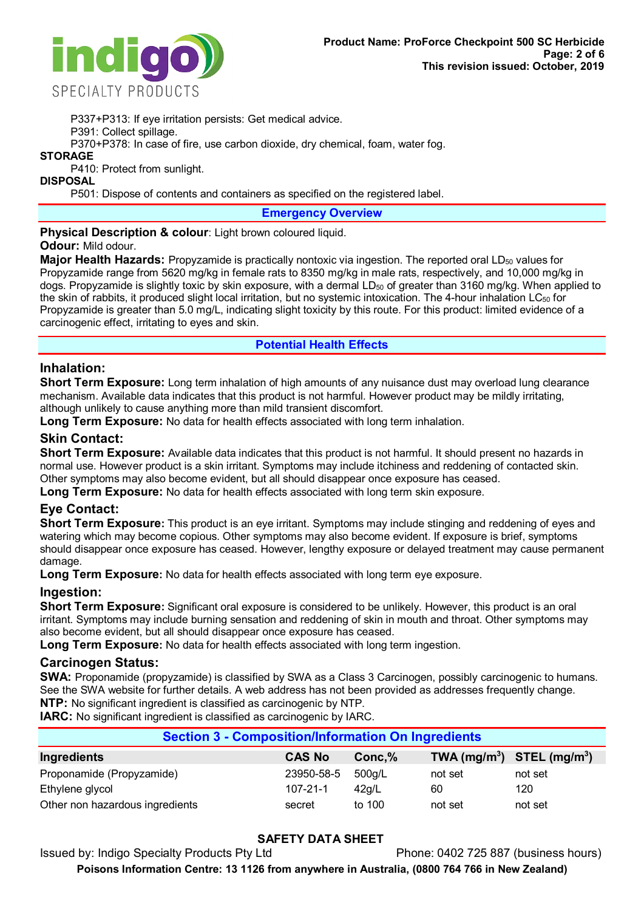

P337+P313: If eye irritation persists: Get medical advice.

P391: Collect spillage.

P370+P378: In case of fire, use carbon dioxide, dry chemical, foam, water fog.

# **STORAGE**

P410: Protect from sunlight.

**DISPOSAL**

P501: Dispose of contents and containers as specified on the registered label.

**Emergency Overview**

**Physical Description & colour:** Light brown coloured liquid.

**Odour:** Mild odour.

Major Health Hazards: Propyzamide is practically nontoxic via ingestion. The reported oral LD<sub>50</sub> values for Propyzamide range from 5620 mg/kg in female rats to 8350 mg/kg in male rats, respectively, and 10,000 mg/kg in dogs. Propyzamide is slightly toxic by skin exposure, with a dermal  $LD_{50}$  of greater than 3160 mg/kg. When applied to the skin of rabbits, it produced slight local irritation, but no systemic intoxication. The 4-hour inhalation  $LC_{50}$  for Propyzamide is greater than 5.0 mg/L, indicating slight toxicity by this route. For this product: limited evidence of a carcinogenic effect, irritating to eyes and skin.

# **Potential Health Effects**

# **Inhalation:**

**Short Term Exposure:** Long term inhalation of high amounts of any nuisance dust may overload lung clearance mechanism. Available data indicates that this product is not harmful. However product may be mildly irritating, although unlikely to cause anything more than mild transient discomfort.

**Long Term Exposure:** No data for health effects associated with long term inhalation.

# **Skin Contact:**

**Short Term Exposure:** Available data indicates that this product is not harmful. It should present no hazards in normal use. However product is a skin irritant. Symptoms may include itchiness and reddening of contacted skin. Other symptoms may also become evident, but all should disappear once exposure has ceased.

**Long Term Exposure:** No data for health effects associated with long term skin exposure.

# **Eye Contact:**

**Short Term Exposure:** This product is an eye irritant. Symptoms may include stinging and reddening of eyes and watering which may become copious. Other symptoms may also become evident. If exposure is brief, symptoms should disappear once exposure has ceased. However, lengthy exposure or delayed treatment may cause permanent damage.

**Long Term Exposure:** No data for health effects associated with long term eye exposure.

# **Ingestion:**

**Short Term Exposure:** Significant oral exposure is considered to be unlikely. However, this product is an oral irritant. Symptoms may include burning sensation and reddening of skin in mouth and throat. Other symptoms may also become evident, but all should disappear once exposure has ceased.

**Long Term Exposure:** No data for health effects associated with long term ingestion.

# **Carcinogen Status:**

**SWA:** Proponamide (propyzamide) is classified by SWA as a Class 3 Carcinogen, possibly carcinogenic to humans. See the SWA website for further details. A web address has not been provided as addresses frequently change. **NTP:** No significant ingredient is classified as carcinogenic by NTP.

**IARC:** No significant ingredient is classified as carcinogenic by IARC.

| <b>Section 3 - Composition/Information On Ingredients</b> |                |         |                                |         |  |
|-----------------------------------------------------------|----------------|---------|--------------------------------|---------|--|
| <b>Ingredients</b>                                        | <b>CAS No</b>  | Conc, % | TWA $(mg/m^3)$ STEL $(mg/m^3)$ |         |  |
| Proponamide (Propyzamide)                                 | 23950-58-5     | 500g/L  | not set                        | not set |  |
| Ethylene glycol                                           | $107 - 21 - 1$ | 42q/L   | 60                             | 120     |  |
| Other non hazardous ingredients                           | secret         | to 100  | not set                        | not set |  |

# **SAFETY DATA SHEET**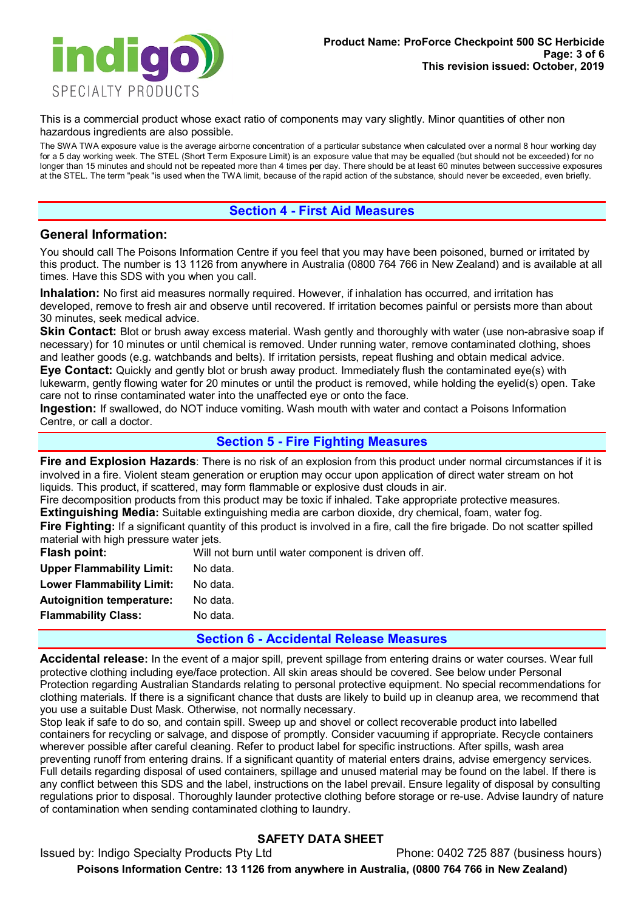

This is a commercial product whose exact ratio of components may vary slightly. Minor quantities of other non hazardous ingredients are also possible.

The SWA TWA exposure value is the average airborne concentration of a particular substance when calculated over a normal 8 hour working day for a 5 day working week. The STEL (Short Term Exposure Limit) is an exposure value that may be equalled (but should not be exceeded) for no longer than 15 minutes and should not be repeated more than 4 times per day. There should be at least 60 minutes between successive exposures at the STEL. The term "peak "is used when the TWA limit, because of the rapid action of the substance, should never be exceeded, even briefly.

## **Section 4 - First Aid Measures**

### **General Information:**

You should call The Poisons Information Centre if you feel that you may have been poisoned, burned or irritated by this product. The number is 13 1126 from anywhere in Australia (0800 764 766 in New Zealand) and is available at all times. Have this SDS with you when you call.

**Inhalation:** No first aid measures normally required. However, if inhalation has occurred, and irritation has developed, remove to fresh air and observe until recovered. If irritation becomes painful or persists more than about 30 minutes, seek medical advice.

**Skin Contact:** Blot or brush away excess material. Wash gently and thoroughly with water (use non-abrasive soap if necessary) for 10 minutes or until chemical is removed. Under running water, remove contaminated clothing, shoes and leather goods (e.g. watchbands and belts). If irritation persists, repeat flushing and obtain medical advice. **Eye Contact:** Quickly and gently blot or brush away product. Immediately flush the contaminated eye(s) with lukewarm, gently flowing water for 20 minutes or until the product is removed, while holding the eyelid(s) open. Take care not to rinse contaminated water into the unaffected eye or onto the face.

**Ingestion:** If swallowed, do NOT induce vomiting. Wash mouth with water and contact a Poisons Information Centre, or call a doctor.

## **Section 5 - Fire Fighting Measures**

**Fire and Explosion Hazards**: There is no risk of an explosion from this product under normal circumstances if it is involved in a fire. Violent steam generation or eruption may occur upon application of direct water stream on hot liquids. This product, if scattered, may form flammable or explosive dust clouds in air.

Fire decomposition products from this product may be toxic if inhaled. Take appropriate protective measures. **Extinguishing Media:** Suitable extinguishing media are carbon dioxide, dry chemical, foam, water fog.

Fire Fighting: If a significant quantity of this product is involved in a fire, call the fire brigade. Do not scatter spilled material with high pressure water jets.

| Will not burn until water component is driven off. |
|----------------------------------------------------|
| No data.                                           |
| No data.                                           |
| No data.                                           |
| No data.                                           |
|                                                    |

#### **Section 6 - Accidental Release Measures**

**Accidental release:** In the event of a major spill, prevent spillage from entering drains or water courses. Wear full protective clothing including eye/face protection. All skin areas should be covered. See below under Personal Protection regarding Australian Standards relating to personal protective equipment. No special recommendations for clothing materials. If there is a significant chance that dusts are likely to build up in cleanup area, we recommend that you use a suitable Dust Mask. Otherwise, not normally necessary.

Stop leak if safe to do so, and contain spill. Sweep up and shovel or collect recoverable product into labelled containers for recycling or salvage, and dispose of promptly. Consider vacuuming if appropriate. Recycle containers wherever possible after careful cleaning. Refer to product label for specific instructions. After spills, wash area preventing runoff from entering drains. If a significant quantity of material enters drains, advise emergency services. Full details regarding disposal of used containers, spillage and unused material may be found on the label. If there is any conflict between this SDS and the label, instructions on the label prevail. Ensure legality of disposal by consulting regulations prior to disposal. Thoroughly launder protective clothing before storage or re-use. Advise laundry of nature of contamination when sending contaminated clothing to laundry.

# **SAFETY DATA SHEET**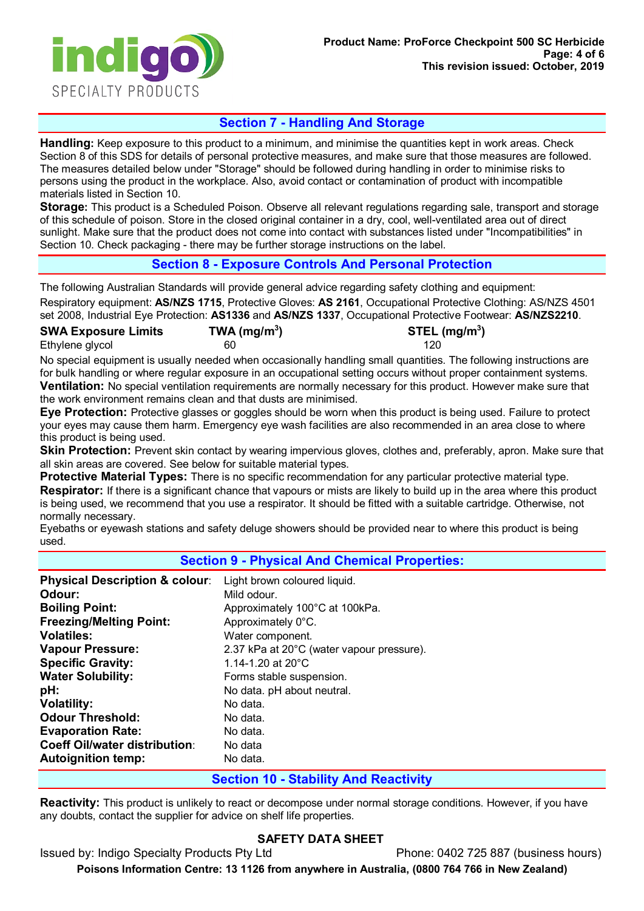

# **Section 7 - Handling And Storage**

**Handling:** Keep exposure to this product to a minimum, and minimise the quantities kept in work areas. Check Section 8 of this SDS for details of personal protective measures, and make sure that those measures are followed. The measures detailed below under "Storage" should be followed during handling in order to minimise risks to persons using the product in the workplace. Also, avoid contact or contamination of product with incompatible materials listed in Section 10.

**Storage:** This product is a Scheduled Poison. Observe all relevant regulations regarding sale, transport and storage of this schedule of poison. Store in the closed original container in a dry, cool, well-ventilated area out of direct sunlight. Make sure that the product does not come into contact with substances listed under "Incompatibilities" in Section 10. Check packaging - there may be further storage instructions on the label.

# **Section 8 - Exposure Controls And Personal Protection**

The following Australian Standards will provide general advice regarding safety clothing and equipment: Respiratory equipment: **AS/NZS 1715**, Protective Gloves: **AS 2161**, Occupational Protective Clothing: AS/NZS 4501 set 2008, Industrial Eye Protection: **AS1336** and **AS/NZS 1337**, Occupational Protective Footwear: **AS/NZS2210**.

| <b>SWA Exposure Limits</b> | TWA (mg/m <sup>3</sup> ) | $STEL$ (mg/m <sup>3</sup> ) |
|----------------------------|--------------------------|-----------------------------|
| Ethylene glycol            | 60                       | 120                         |

No special equipment is usually needed when occasionally handling small quantities. The following instructions are for bulk handling or where regular exposure in an occupational setting occurs without proper containment systems. **Ventilation:** No special ventilation requirements are normally necessary for this product. However make sure that the work environment remains clean and that dusts are minimised.

**Eye Protection:** Protective glasses or goggles should be worn when this product is being used. Failure to protect your eyes may cause them harm. Emergency eye wash facilities are also recommended in an area close to where this product is being used.

**Skin Protection:** Prevent skin contact by wearing impervious gloves, clothes and, preferably, apron. Make sure that all skin areas are covered. See below for suitable material types.

**Protective Material Types:** There is no specific recommendation for any particular protective material type. **Respirator:** If there is a significant chance that vapours or mists are likely to build up in the area where this product is being used, we recommend that you use a respirator. It should be fitted with a suitable cartridge. Otherwise, not normally necessary.

Eyebaths or eyewash stations and safety deluge showers should be provided near to where this product is being used.

#### **Section 9 - Physical And Chemical Properties:**

| <b>Physical Description &amp; colour:</b> | Light brown coloured liquid.              |
|-------------------------------------------|-------------------------------------------|
| Odour:                                    | Mild odour.                               |
| <b>Boiling Point:</b>                     | Approximately 100°C at 100kPa.            |
| <b>Freezing/Melting Point:</b>            | Approximately 0°C.                        |
| <b>Volatiles:</b>                         | Water component.                          |
| <b>Vapour Pressure:</b>                   | 2.37 kPa at 20°C (water vapour pressure). |
| <b>Specific Gravity:</b>                  | 1.14-1.20 at $20^{\circ}$ C               |
| <b>Water Solubility:</b>                  | Forms stable suspension.                  |
| pH:                                       | No data. pH about neutral.                |
| <b>Volatility:</b>                        | No data.                                  |
| <b>Odour Threshold:</b>                   | No data.                                  |
| <b>Evaporation Rate:</b>                  | No data.                                  |
| <b>Coeff Oil/water distribution:</b>      | No data                                   |
| <b>Autoignition temp:</b>                 | No data.                                  |

#### **Section 10 - Stability And Reactivity**

**Reactivity:** This product is unlikely to react or decompose under normal storage conditions. However, if you have any doubts, contact the supplier for advice on shelf life properties.

# **SAFETY DATA SHEET**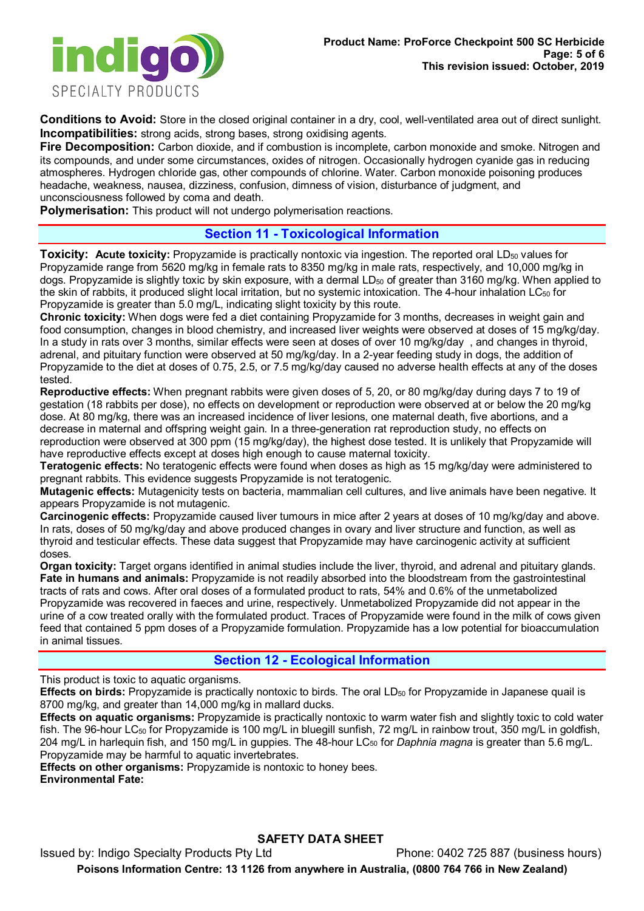

**Conditions to Avoid:** Store in the closed original container in a dry, cool, well-ventilated area out of direct sunlight. **Incompatibilities:** strong acids, strong bases, strong oxidising agents.

**Fire Decomposition:** Carbon dioxide, and if combustion is incomplete, carbon monoxide and smoke. Nitrogen and its compounds, and under some circumstances, oxides of nitrogen. Occasionally hydrogen cyanide gas in reducing atmospheres. Hydrogen chloride gas, other compounds of chlorine. Water. Carbon monoxide poisoning produces headache, weakness, nausea, dizziness, confusion, dimness of vision, disturbance of judgment, and unconsciousness followed by coma and death.

**Polymerisation:** This product will not undergo polymerisation reactions.

# **Section 11 - Toxicological Information**

**Toxicity: Acute toxicity:** Propyzamide is practically nontoxic via ingestion. The reported oral LD<sub>50</sub> values for Propyzamide range from 5620 mg/kg in female rats to 8350 mg/kg in male rats, respectively, and 10,000 mg/kg in dogs. Propyzamide is slightly toxic by skin exposure, with a dermal LD<sub>50</sub> of greater than 3160 mg/kg. When applied to the skin of rabbits, it produced slight local irritation, but no systemic intoxication. The 4-hour inhalation LC<sub>50</sub> for Propyzamide is greater than 5.0 mg/L, indicating slight toxicity by this route.

**Chronic toxicity:** When dogs were fed a diet containing Propyzamide for 3 months, decreases in weight gain and food consumption, changes in blood chemistry, and increased liver weights were observed at doses of 15 mg/kg/day. In a study in rats over 3 months, similar effects were seen at doses of over 10 mg/kg/day, and changes in thyroid, adrenal, and pituitary function were observed at 50 mg/kg/day. In a 2-year feeding study in dogs, the addition of Propyzamide to the diet at doses of 0.75, 2.5, or 7.5 mg/kg/day caused no adverse health effects at any of the doses tested.

**Reproductive effects:** When pregnant rabbits were given doses of 5, 20, or 80 mg/kg/day during days 7 to 19 of gestation (18 rabbits per dose), no effects on development or reproduction were observed at or below the 20 mg/kg dose. At 80 mg/kg, there was an increased incidence of liver lesions, one maternal death, five abortions, and a decrease in maternal and offspring weight gain. In a three-generation rat reproduction study, no effects on reproduction were observed at 300 ppm (15 mg/kg/day), the highest dose tested. It is unlikely that Propyzamide will have reproductive effects except at doses high enough to cause maternal toxicity.

**Teratogenic effects:** No teratogenic effects were found when doses as high as 15 mg/kg/day were administered to pregnant rabbits. This evidence suggests Propyzamide is not teratogenic.

**Mutagenic effects:** Mutagenicity tests on bacteria, mammalian cell cultures, and live animals have been negative. It appears Propyzamide is not mutagenic.

**Carcinogenic effects:** Propyzamide caused liver tumours in mice after 2 years at doses of 10 mg/kg/day and above. In rats, doses of 50 mg/kg/day and above produced changes in ovary and liver structure and function, as well as thyroid and testicular effects. These data suggest that Propyzamide may have carcinogenic activity at sufficient doses.

**Organ toxicity:** Target organs identified in animal studies include the liver, thyroid, and adrenal and pituitary glands. **Fate in humans and animals:** Propyzamide is not readily absorbed into the bloodstream from the gastrointestinal tracts of rats and cows. After oral doses of a formulated product to rats, 54% and 0.6% of the unmetabolized Propyzamide was recovered in faeces and urine, respectively. Unmetabolized Propyzamide did not appear in the urine of a cow treated orally with the formulated product. Traces of Propyzamide were found in the milk of cows given feed that contained 5 ppm doses of a Propyzamide formulation. Propyzamide has a low potential for bioaccumulation in animal tissues.

# **Section 12 - Ecological Information**

This product is toxic to aquatic organisms.

**Effects on birds:** Propyzamide is practically nontoxic to birds. The oral LD<sub>50</sub> for Propyzamide in Japanese quail is 8700 mg/kg, and greater than 14,000 mg/kg in mallard ducks.

**Effects on aquatic organisms:** Propyzamide is practically nontoxic to warm water fish and slightly toxic to cold water fish. The 96-hour LC<sub>50</sub> for Propyzamide is 100 mg/L in bluegill sunfish, 72 mg/L in rainbow trout, 350 mg/L in goldfish, 204 mg/L in harlequin fish, and 150 mg/L in guppies. The 48-hour LC50 for *Daphnia magna* is greater than 5.6 mg/L. Propyzamide may be harmful to aquatic invertebrates.

**Effects on other organisms:** Propyzamide is nontoxic to honey bees. **Environmental Fate:** 

# **SAFETY DATA SHEET**